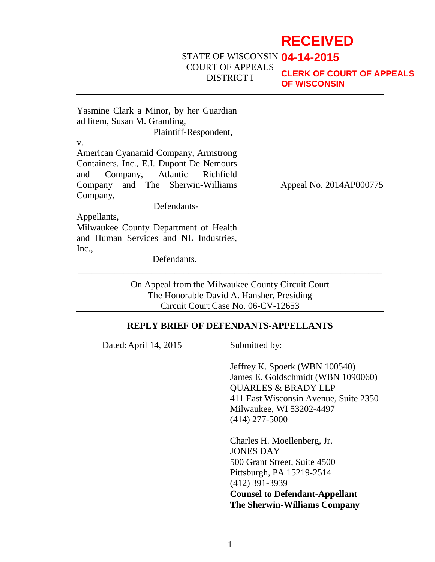# **RECEIVED**

STATE OF WISCONSIN **04-14-2015** COURT OF APPEALS DISTRICT I

**CLERK OF COURT OF APPEALS OF WISCONSIN**

Yasmine Clark a Minor, by her Guardian ad litem, Susan M. Gramling, Plaintiff-Respondent,

v.

American Cyanamid Company, Armstrong Containers. Inc., E.I. Dupont De Nemours and Company, Atlantic Richfield Company and The Sherwin-Williams Company,

Appeal No. 2014AP000775

Appellants,

Milwaukee County Department of Health and Human Services and NL Industries, Inc.,

Defendants.

Defendants-

On Appeal from the Milwaukee County Circuit Court The Honorable David A. Hansher, Presiding Circuit Court Case No. 06-CV-12653

\_\_\_\_\_\_\_\_\_\_\_\_\_\_\_\_\_\_\_\_\_\_\_\_\_\_\_\_\_\_\_\_\_\_\_\_\_\_\_\_\_\_\_\_\_\_\_\_\_\_\_\_\_\_\_\_\_\_\_\_\_\_\_\_\_\_

### **REPLY BRIEF OF DEFENDANTS-APPELLANTS**

| Dated: April 14, 2015 | Submitted by:                                                                                                                                   |
|-----------------------|-------------------------------------------------------------------------------------------------------------------------------------------------|
|                       | Jeffrey K. Spoerk (WBN 100540)<br>James E. Goldschmidt (WBN 1090060)<br><b>QUARLES &amp; BRADY LLP</b><br>411 East Wisconsin Avenue, Suite 2350 |
|                       | Milwaukee, WI 53202-4497                                                                                                                        |
|                       | $(414)$ 277-5000                                                                                                                                |
|                       | Charles H. Moellenberg, Jr.                                                                                                                     |
|                       | <b>JONES DAY</b>                                                                                                                                |
|                       | 500 Grant Street, Suite 4500                                                                                                                    |
|                       | Pittsburgh, PA 15219-2514                                                                                                                       |
|                       | $(412)$ 391-3939                                                                                                                                |
|                       | <b>Counsel to Defendant-Appellant</b><br><b>The Sherwin-Williams Company</b>                                                                    |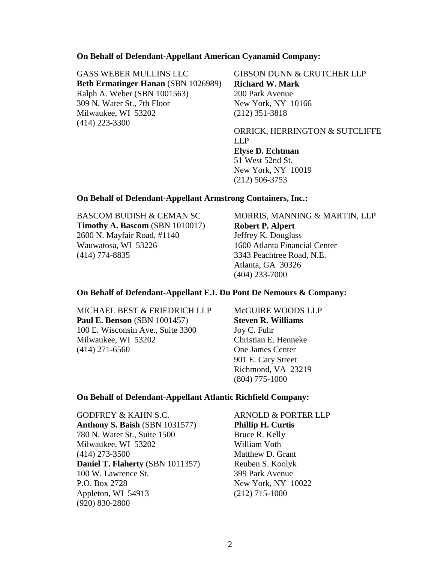### **On Behalf of Defendant-Appellant American Cyanamid Company:**

GASS WEBER MULLINS LLC **Beth Ermatinger Hanan** (SBN 1026989) Ralph A. Weber (SBN 1001563) 309 N. Water St., 7th Floor Milwaukee, WI 53202 (414) 223-3300

GIBSON DUNN & CRUTCHER LLP **Richard W. Mark** 200 Park Avenue New York, NY 10166 (212) 351-3818

ORRICK, HERRINGTON & SUTCLIFFE LLP **Elyse D. Echtman** 51 West 52nd St. New York, NY 10019 (212) 506-3753

#### **On Behalf of Defendant-Appellant Armstrong Containers, Inc.:**

BASCOM BUDISH & CEMAN SC **Timothy A. Bascom** (SBN 1010017) 2600 N. Mayfair Road, #1140 Wauwatosa, WI 53226 (414) 774-8835

MORRIS, MANNING & MARTIN, LLP **Robert P. Alpert** Jeffrey K. Douglass 1600 Atlanta Financial Center 3343 Peachtree Road, N.E. Atlanta, GA 30326 (404) 233-7000

#### **On Behalf of Defendant-Appellant E.I. Du Pont De Nemours & Company:**

MICHAEL BEST & FRIEDRICH LLP **Paul E. Benson** (SBN 1001457) 100 E. Wisconsin Ave., Suite 3300 Milwaukee, WI 53202 (414) 271-6560

McGUIRE WOODS LLP **Steven R. Williams** Joy C. Fuhr Christian E. Henneke One James Center 901 E. Cary Street Richmond, VA 23219 (804) 775-1000

### **On Behalf of Defendant-Appellant Atlantic Richfield Company:**

GODFREY & KAHN S.C. **Anthony S. Baish** (SBN 1031577) 780 N. Water St., Suite 1500 Milwaukee, WI 53202 (414) 273-3500 **Daniel T. Flaherty** (SBN 1011357) 100 W. Lawrence St. P.O. Box 2728 Appleton, WI 54913 (920) 830-2800

ARNOLD & PORTER LLP **Phillip H. Curtis** Bruce R. Kelly William Voth Matthew D. Grant Reuben S. Koolyk 399 Park Avenue New York, NY 10022 (212) 715-1000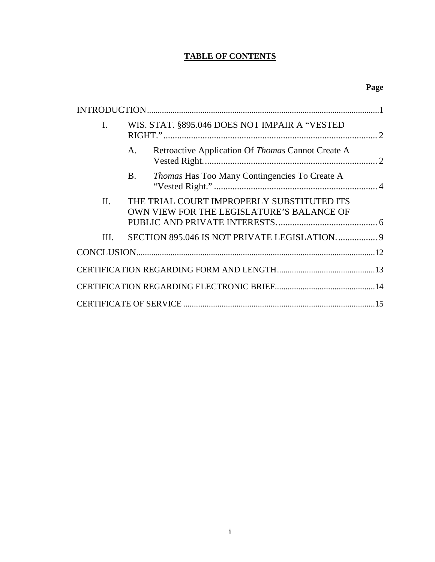# **TABLE OF CONTENTS**

| I.   |           | WIS. STAT. §895.046 DOES NOT IMPAIR A "VESTED                                           |  |
|------|-----------|-----------------------------------------------------------------------------------------|--|
|      | A.        | Retroactive Application Of Thomas Cannot Create A                                       |  |
|      | <b>B.</b> | <i>Thomas</i> Has Too Many Contingencies To Create A                                    |  |
| II.  |           | THE TRIAL COURT IMPROPERLY SUBSTITUTED ITS<br>OWN VIEW FOR THE LEGISLATURE'S BALANCE OF |  |
| III. |           |                                                                                         |  |
|      |           |                                                                                         |  |
|      |           |                                                                                         |  |
|      |           |                                                                                         |  |
|      |           |                                                                                         |  |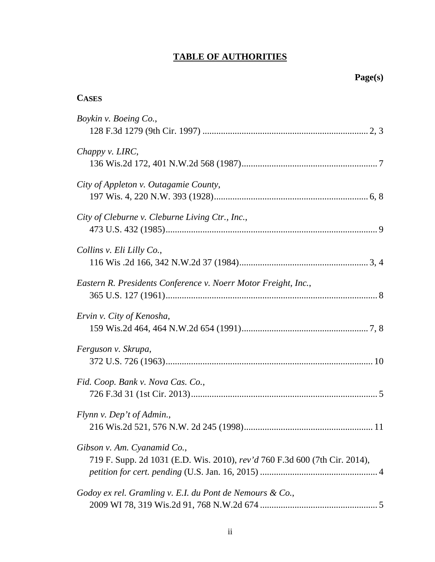# **TABLE OF AUTHORITIES**

| <b>CASES</b>                                                                                              |
|-----------------------------------------------------------------------------------------------------------|
| Boykin v. Boeing Co.,                                                                                     |
| Chappy v. LIRC,                                                                                           |
| City of Appleton v. Outagamie County,                                                                     |
| City of Cleburne v. Cleburne Living Ctr., Inc.,                                                           |
| Collins v. Eli Lilly Co.,                                                                                 |
| Eastern R. Presidents Conference v. Noerr Motor Freight, Inc.,                                            |
| Ervin v. City of Kenosha,                                                                                 |
| Ferguson v. Skrupa,                                                                                       |
| Fid. Coop. Bank v. Nova Cas. Co.,                                                                         |
| Flynn v. Dep't of Admin.,                                                                                 |
| Gibson v. Am. Cyanamid Co.,<br>719 F. Supp. 2d 1031 (E.D. Wis. 2010), rev'd 760 F.3d 600 (7th Cir. 2014), |
| Godoy ex rel. Gramling v. E.I. du Pont de Nemours & Co.,                                                  |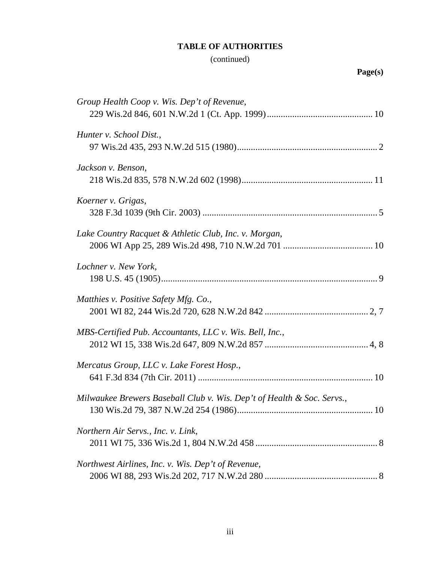# **TABLE OF AUTHORITIES**

# (continued)

# **Page(s)**

| Group Health Coop v. Wis. Dep't of Revenue,                            |
|------------------------------------------------------------------------|
|                                                                        |
| Hunter v. School Dist.,                                                |
|                                                                        |
| Jackson v. Benson,                                                     |
|                                                                        |
| Koerner v. Grigas,                                                     |
|                                                                        |
| Lake Country Racquet & Athletic Club, Inc. v. Morgan,                  |
|                                                                        |
| Lochner v. New York,                                                   |
|                                                                        |
| Matthies v. Positive Safety Mfg. Co.,                                  |
|                                                                        |
| MBS-Certified Pub. Accountants, LLC v. Wis. Bell, Inc.,                |
|                                                                        |
| Mercatus Group, LLC v. Lake Forest Hosp.,                              |
|                                                                        |
| Milwaukee Brewers Baseball Club v. Wis. Dep't of Health & Soc. Servs., |
|                                                                        |
| Northern Air Servs., Inc. v. Link,                                     |
|                                                                        |
| Northwest Airlines, Inc. v. Wis. Dep't of Revenue,                     |
|                                                                        |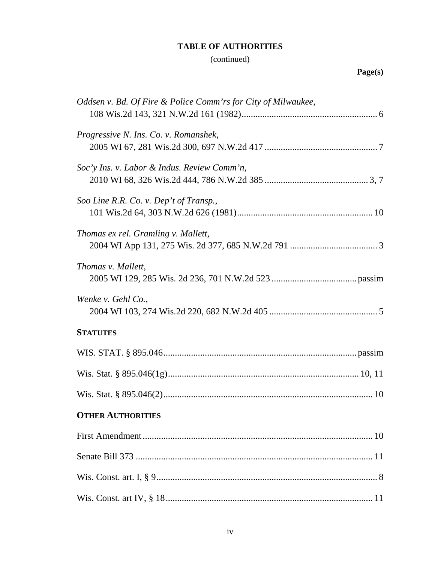# **TABLE OF AUTHORITIES**

# (continued)

# **Page(s)**

| Oddsen v. Bd. Of Fire & Police Comm'rs for City of Milwaukee, |
|---------------------------------------------------------------|
| Progressive N. Ins. Co. v. Romanshek,                         |
| Soc'y Ins. v. Labor & Indus. Review Comm'n,                   |
| Soo Line R.R. Co. v. Dep't of Transp.,                        |
| Thomas ex rel. Gramling v. Mallett,                           |
| Thomas v. Mallett,                                            |
| Wenke v. Gehl Co.,                                            |
| <b>STATUTES</b>                                               |
|                                                               |
|                                                               |
|                                                               |
| <b>OTHER AUTHORITIES</b>                                      |
|                                                               |
|                                                               |
|                                                               |
|                                                               |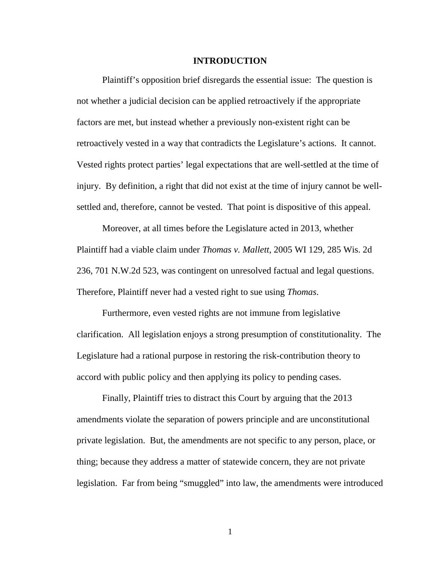### **INTRODUCTION**

<span id="page-6-0"></span>Plaintiff's opposition brief disregards the essential issue: The question is not whether a judicial decision can be applied retroactively if the appropriate factors are met, but instead whether a previously non-existent right can be retroactively vested in a way that contradicts the Legislature's actions. It cannot. Vested rights protect parties' legal expectations that are well-settled at the time of injury. By definition, a right that did not exist at the time of injury cannot be wellsettled and, therefore, cannot be vested. That point is dispositive of this appeal.

Moreover, at all times before the Legislature acted in 2013, whether Plaintiff had a viable claim under *Thomas v. Mallett*, 2005 WI 129, 285 Wis. 2d 236, 701 N.W.2d 523, was contingent on unresolved factual and legal questions. Therefore, Plaintiff never had a vested right to sue using *Thomas*.

Furthermore, even vested rights are not immune from legislative clarification. All legislation enjoys a strong presumption of constitutionality. The Legislature had a rational purpose in restoring the risk-contribution theory to accord with public policy and then applying its policy to pending cases.

Finally, Plaintiff tries to distract this Court by arguing that the 2013 amendments violate the separation of powers principle and are unconstitutional private legislation. But, the amendments are not specific to any person, place, or thing; because they address a matter of statewide concern, they are not private legislation. Far from being "smuggled" into law, the amendments were introduced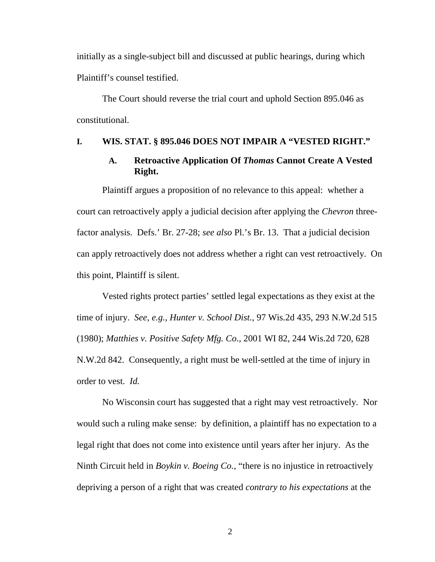initially as a single-subject bill and discussed at public hearings, during which Plaintiff's counsel testified.

The Court should reverse the trial court and uphold Section 895.046 as constitutional.

## <span id="page-7-1"></span><span id="page-7-0"></span>**I. WIS. STAT. § 895.046 DOES NOT IMPAIR A "VESTED RIGHT."**

### **A. Retroactive Application Of** *Thomas* **Cannot Create A Vested Right.**

Plaintiff argues a proposition of no relevance to this appeal: whether a court can retroactively apply a judicial decision after applying the *Chevron* threefactor analysis. Defs.' Br. 27-28; *see also* Pl.'s Br. 13. That a judicial decision can apply retroactively does not address whether a right can vest retroactively. On this point, Plaintiff is silent.

<span id="page-7-4"></span><span id="page-7-3"></span>Vested rights protect parties' settled legal expectations as they exist at the time of injury. *See, e.g.*, *Hunter v. School Dist.*, 97 Wis.2d 435, 293 N.W.2d 515 (1980); *Matthies v. Positive Safety Mfg. Co.*, 2001 WI 82, 244 Wis.2d 720, 628 N.W.2d 842. Consequently, a right must be well-settled at the time of injury in order to vest. *Id.*

<span id="page-7-2"></span>No Wisconsin court has suggested that a right may vest retroactively. Nor would such a ruling make sense: by definition, a plaintiff has no expectation to a legal right that does not come into existence until years after her injury. As the Ninth Circuit held in *Boykin v. Boeing Co.*, "there is no injustice in retroactively depriving a person of a right that was created *contrary to his expectations* at the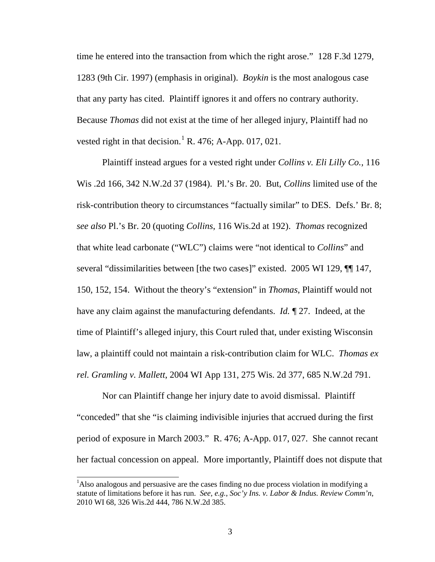time he entered into the transaction from which the right arose." 128 F.3d 1279, 1283 (9th Cir. 1997) (emphasis in original). *Boykin* is the most analogous case that any party has cited. Plaintiff ignores it and offers no contrary authority. Because *Thomas* did not exist at the time of her alleged injury, Plaintiff had no vested right in that decision.<sup>[1](#page-8-2)</sup> R. 476; A-App. 017, 021.

<span id="page-8-0"></span>Plaintiff instead argues for a vested right under *Collins v. Eli Lilly Co.,* 116 Wis .2d 166, 342 N.W.2d 37 (1984). Pl.'s Br. 20. But, *Collins* limited use of the risk-contribution theory to circumstances "factually similar" to DES. Defs.' Br. 8; *see also* Pl.'s Br. 20 (quoting *Collins*, 116 Wis.2d at 192). *Thomas* recognized that white lead carbonate ("WLC") claims were "not identical to *Collins*" and several "dissimilarities between [the two cases]" existed. 2005 WI 129, ¶¶ 147, 150, 152, 154. Without the theory's "extension" in *Thomas*, Plaintiff would not have any claim against the manufacturing defendants. *Id.* ¶ 27. Indeed, at the time of Plaintiff's alleged injury, this Court ruled that, under existing Wisconsin law, a plaintiff could not maintain a risk-contribution claim for WLC. *Thomas ex rel. Gramling v. Mallett*, 2004 WI App 131, 275 Wis. 2d 377, 685 N.W.2d 791.

<span id="page-8-1"></span>Nor can Plaintiff change her injury date to avoid dismissal. Plaintiff "conceded" that she "is claiming indivisible injuries that accrued during the first period of exposure in March 2003." R. 476; A-App. 017, 027. She cannot recant her factual concession on appeal. More importantly, Plaintiff does not dispute that

<span id="page-8-2"></span><sup>&</sup>lt;sup>1</sup>Also analogous and persuasive are the cases finding no due process violation in modifying a statute of limitations before it has run. *See, e.g.*, *Soc'y Ins. v. Labor & Indus. Review Comm'n*, 2010 WI 68, 326 Wis.2d 444, 786 N.W.2d 385.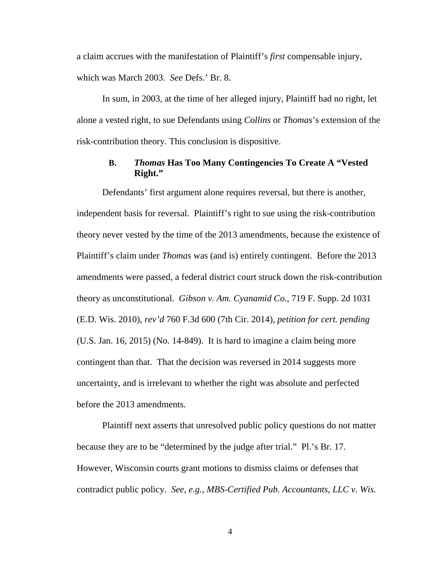a claim accrues with the manifestation of Plaintiff's *first* compensable injury, which was March 2003. *See* Defs.' Br. 8.

In sum, in 2003, at the time of her alleged injury, Plaintiff had no right, let alone a vested right, to sue Defendants using *Collins* or *Thomas*'s extension of the risk-contribution theory. This conclusion is dispositive.

# **B.** *Thomas* **Has Too Many Contingencies To Create A "Vested Right."**

<span id="page-9-1"></span><span id="page-9-0"></span>Defendants' first argument alone requires reversal, but there is another, independent basis for reversal. Plaintiff's right to sue using the risk-contribution theory never vested by the time of the 2013 amendments, because the existence of Plaintiff's claim under *Thomas* was (and is) entirely contingent. Before the 2013 amendments were passed, a federal district court struck down the risk-contribution theory as unconstitutional. *Gibson v. Am. Cyanamid Co.,* 719 F. Supp. 2d 1031 (E.D. Wis. 2010), *rev'd* 760 F.3d 600 (7th Cir. 2014), *petition for cert. pending* (U.S. Jan. 16, 2015) (No. 14-849). It is hard to imagine a claim being more contingent than that. That the decision was reversed in 2014 suggests more uncertainty, and is irrelevant to whether the right was absolute and perfected before the 2013 amendments.

<span id="page-9-2"></span>Plaintiff next asserts that unresolved public policy questions do not matter because they are to be "determined by the judge after trial." Pl.'s Br. 17. However, Wisconsin courts grant motions to dismiss claims or defenses that contradict public policy. *See, e.g.*, *MBS-Certified Pub. Accountants, LLC v. Wis.*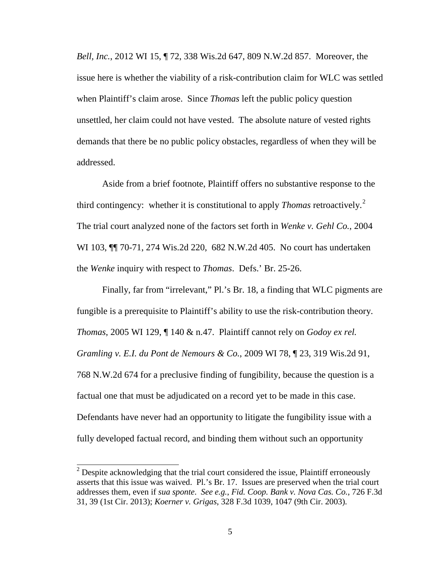*Bell, Inc.*, 2012 WI 15, ¶ 72, 338 Wis.2d 647, 809 N.W.2d 857. Moreover, the issue here is whether the viability of a risk-contribution claim for WLC was settled when Plaintiff's claim arose. Since *Thomas* left the public policy question unsettled, her claim could not have vested. The absolute nature of vested rights demands that there be no public policy obstacles, regardless of when they will be addressed.

<span id="page-10-3"></span>Aside from a brief footnote, Plaintiff offers no substantive response to the third contingency: whether it is constitutional to apply *Thomas* retroactively.<sup>[2](#page-10-4)</sup> The trial court analyzed none of the factors set forth in *Wenke v. Gehl Co.*, 2004 WI 103,  $\P$ [ 70-71, 274 Wis.2d 220, 682 N.W.2d 405. No court has undertaken the *Wenke* inquiry with respect to *Thomas*. Defs.' Br. 25-26.

<span id="page-10-1"></span>Finally, far from "irrelevant," Pl.'s Br. 18, a finding that WLC pigments are fungible is a prerequisite to Plaintiff's ability to use the risk-contribution theory. *Thomas*, 2005 WI 129, ¶ 140 & n.47. Plaintiff cannot rely on *Godoy ex rel. Gramling v. E.I. du Pont de Nemours & Co.*, 2009 WI 78, ¶ 23, 319 Wis.2d 91, 768 N.W.2d 674 for a preclusive finding of fungibility, because the question is a factual one that must be adjudicated on a record yet to be made in this case. Defendants have never had an opportunity to litigate the fungibility issue with a fully developed factual record, and binding them without such an opportunity

<span id="page-10-4"></span><span id="page-10-2"></span><span id="page-10-0"></span> $2$  Despite acknowledging that the trial court considered the issue, Plaintiff erroneously asserts that this issue was waived. Pl.'s Br. 17. Issues are preserved when the trial court addresses them, even if *sua sponte*. *See e.g.*, *Fid. Coop. Bank v. Nova Cas. Co.*, 726 F.3d 31, 39 (1st Cir. 2013); *Koerner v. Grigas*, 328 F.3d 1039, 1047 (9th Cir. 2003).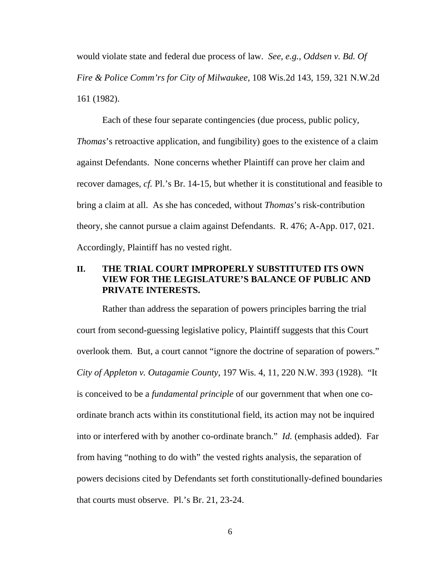<span id="page-11-2"></span>would violate state and federal due process of law. *See, e.g.*, *Oddsen v. Bd. Of Fire & Police Comm'rs for City of Milwaukee*, 108 Wis.2d 143, 159, 321 N.W.2d 161 (1982).

Each of these four separate contingencies (due process, public policy, *Thomas*'s retroactive application, and fungibility) goes to the existence of a claim against Defendants. None concerns whether Plaintiff can prove her claim and recover damages, *cf.* Pl.'s Br. 14-15, but whether it is constitutional and feasible to bring a claim at all. As she has conceded, without *Thomas*'s risk-contribution theory, she cannot pursue a claim against Defendants. R. 476; A-App. 017, 021. Accordingly, Plaintiff has no vested right.

# <span id="page-11-0"></span>**II. THE TRIAL COURT IMPROPERLY SUBSTITUTED ITS OWN VIEW FOR THE LEGISLATURE'S BALANCE OF PUBLIC AND PRIVATE INTERESTS.**

<span id="page-11-1"></span>Rather than address the separation of powers principles barring the trial court from second-guessing legislative policy, Plaintiff suggests that this Court overlook them. But, a court cannot "ignore the doctrine of separation of powers." *City of Appleton v. Outagamie County*, 197 Wis. 4, 11, 220 N.W. 393 (1928). "It is conceived to be a *fundamental principle* of our government that when one coordinate branch acts within its constitutional field, its action may not be inquired into or interfered with by another co-ordinate branch." *Id.* (emphasis added). Far from having "nothing to do with" the vested rights analysis, the separation of powers decisions cited by Defendants set forth constitutionally-defined boundaries that courts must observe. Pl.'s Br. 21, 23-24.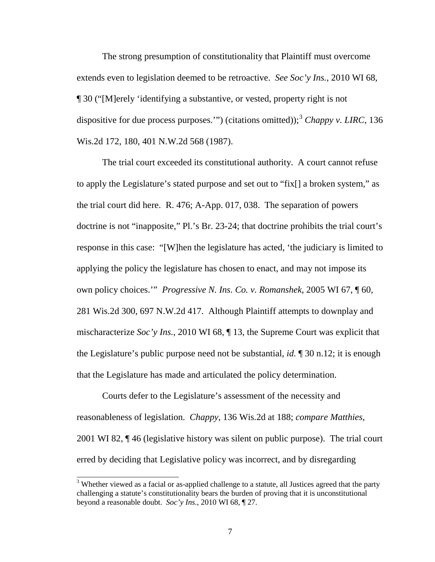The strong presumption of constitutionality that Plaintiff must overcome extends even to legislation deemed to be retroactive. *See Soc'y Ins.*, 2010 WI 68, ¶ 30 ("[M]erely 'identifying a substantive, or vested, property right is not dispositive for due process purposes."") (citations omitted));<sup>[3](#page-12-4)</sup> *Chappy v. LIRC*, 136 Wis.2d 172, 180, 401 N.W.2d 568 (1987).

<span id="page-12-0"></span>The trial court exceeded its constitutional authority. A court cannot refuse to apply the Legislature's stated purpose and set out to "fix[] a broken system," as the trial court did here. R. 476; A-App. 017, 038. The separation of powers doctrine is not "inapposite," Pl.'s Br. 23-24; that doctrine prohibits the trial court's response in this case: "[W]hen the legislature has acted, 'the judiciary is limited to applying the policy the legislature has chosen to enact, and may not impose its own policy choices.'" *Progressive N. Ins. Co. v. Romanshek*, 2005 WI 67, ¶ 60, 281 Wis.2d 300, 697 N.W.2d 417. Although Plaintiff attempts to downplay and mischaracterize *Soc'y Ins.*, 2010 WI 68, ¶ 13, the Supreme Court was explicit that the Legislature's public purpose need not be substantial, *id.* ¶ 30 n.12; it is enough that the Legislature has made and articulated the policy determination.

<span id="page-12-2"></span><span id="page-12-1"></span>Courts defer to the Legislature's assessment of the necessity and reasonableness of legislation. *Chappy*, 136 Wis.2d at 188; *compare Matthies*, 2001 WI 82, ¶ 46 (legislative history was silent on public purpose). The trial court erred by deciding that Legislative policy was incorrect, and by disregarding

<span id="page-12-4"></span><span id="page-12-3"></span><sup>&</sup>lt;sup>3</sup> Whether viewed as a facial or as-applied challenge to a statute, all Justices agreed that the party challenging a statute's constitutionality bears the burden of proving that it is unconstitutional beyond a reasonable doubt. *Soc'y Ins.*, 2010 WI 68, ¶ 27.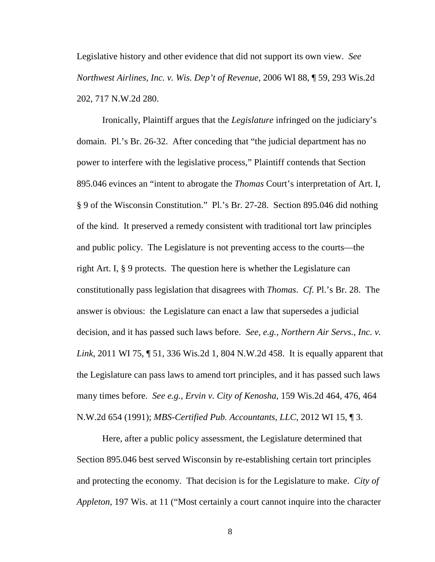<span id="page-13-4"></span>Legislative history and other evidence that did not support its own view. *See Northwest Airlines, Inc. v. Wis. Dep't of Revenue*, 2006 WI 88, ¶ 59, 293 Wis.2d 202, 717 N.W.2d 280.

<span id="page-13-5"></span>Ironically, Plaintiff argues that the *Legislature* infringed on the judiciary's domain. Pl.'s Br. 26-32. After conceding that "the judicial department has no power to interfere with the legislative process," Plaintiff contends that Section 895.046 evinces an "intent to abrogate the *Thomas* Court's interpretation of Art. I, § 9 of the Wisconsin Constitution." Pl.'s Br. 27-28. Section 895.046 did nothing of the kind. It preserved a remedy consistent with traditional tort law principles and public policy. The Legislature is not preventing access to the courts—the right Art. I, § 9 protects. The question here is whether the Legislature can constitutionally pass legislation that disagrees with *Thomas*. *Cf.* Pl.'s Br. 28. The answer is obvious: the Legislature can enact a law that supersedes a judicial decision, and it has passed such laws before. *See, e.g.*, *Northern Air Servs., Inc. v. Link*, 2011 WI 75, ¶ 51, 336 Wis.2d 1, 804 N.W.2d 458. It is equally apparent that the Legislature can pass laws to amend tort principles, and it has passed such laws many times before. *See e.g., Ervin v. City of Kenosha*, 159 Wis.2d 464, 476, 464 N.W.2d 654 (1991); *MBS-Certified Pub. Accountants, LLC*, 2012 WI 15, ¶ 3.

<span id="page-13-3"></span><span id="page-13-2"></span><span id="page-13-1"></span><span id="page-13-0"></span>Here, after a public policy assessment, the Legislature determined that Section 895.046 best served Wisconsin by re-establishing certain tort principles and protecting the economy. That decision is for the Legislature to make. *City of Appleton*, 197 Wis. at 11 ("Most certainly a court cannot inquire into the character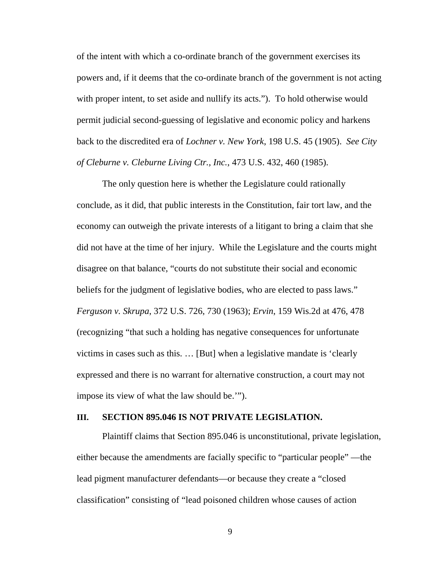of the intent with which a co-ordinate branch of the government exercises its powers and, if it deems that the co-ordinate branch of the government is not acting with proper intent, to set aside and nullify its acts."). To hold otherwise would permit judicial second-guessing of legislative and economic policy and harkens back to the discredited era of *Lochner v. New York*, 198 U.S. 45 (1905). *See City of Cleburne v. Cleburne Living Ctr., Inc.*, 473 U.S. 432, 460 (1985).

<span id="page-14-4"></span><span id="page-14-1"></span>The only question here is whether the Legislature could rationally conclude, as it did, that public interests in the Constitution, fair tort law, and the economy can outweigh the private interests of a litigant to bring a claim that she did not have at the time of her injury. While the Legislature and the courts might disagree on that balance, "courts do not substitute their social and economic beliefs for the judgment of legislative bodies, who are elected to pass laws." *Ferguson v. Skrupa*, 372 U.S. 726, 730 (1963); *Ervin*, 159 Wis.2d at 476, 478 (recognizing "that such a holding has negative consequences for unfortunate victims in cases such as this. … [But] when a legislative mandate is 'clearly expressed and there is no warrant for alternative construction, a court may not impose its view of what the law should be.'").

### <span id="page-14-3"></span><span id="page-14-2"></span><span id="page-14-0"></span>**III. SECTION 895.046 IS NOT PRIVATE LEGISLATION.**

Plaintiff claims that Section 895.046 is unconstitutional, private legislation, either because the amendments are facially specific to "particular people" —the lead pigment manufacturer defendants—or because they create a "closed classification" consisting of "lead poisoned children whose causes of action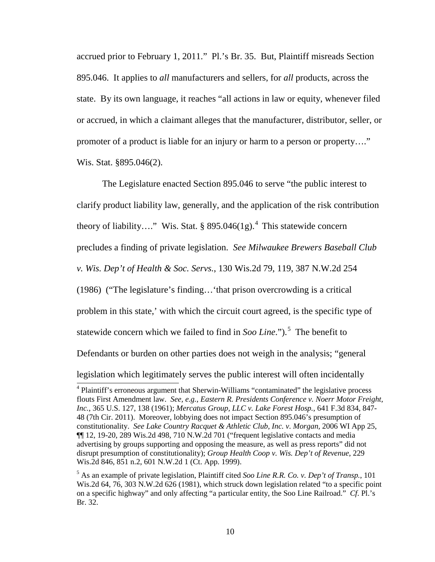accrued prior to February 1, 2011." Pl.'s Br. 35. But, Plaintiff misreads Section 895.046. It applies to *all* manufacturers and sellers, for *all* products, across the state. By its own language, it reaches "all actions in law or equity, whenever filed or accrued, in which a claimant alleges that the manufacturer, distributor, seller, or promoter of a product is liable for an injury or harm to a person or property…." Wis. Stat. §895.046(2).

<span id="page-15-6"></span><span id="page-15-4"></span>The Legislature enacted Section 895.046 to serve "the public interest to clarify product liability law, generally, and the application of the risk contribution theory of liability…." Wis. Stat. § 895.0[4](#page-15-8)6(1g).<sup>4</sup> This statewide concern precludes a finding of private legislation. *See Milwaukee Brewers Baseball Club v. Wis. Dep't of Health & Soc. Servs.*, 130 Wis.2d 79, 119, 387 N.W.2d 254 (1986) ("The legislature's finding…'that prison overcrowding is a critical problem in this state,' with which the circuit court agreed, is the specific type of statewide concern which we failed to find in *Soo Line*.").<sup>[5](#page-15-9)</sup> The benefit to Defendants or burden on other parties does not weigh in the analysis; "general

<span id="page-15-5"></span>legislation which legitimately serves the public interest will often incidentally

<span id="page-15-8"></span><span id="page-15-7"></span><span id="page-15-3"></span><span id="page-15-2"></span><span id="page-15-0"></span><sup>&</sup>lt;sup>4</sup> Plaintiff's erroneous argument that Sherwin-Williams "contaminated" the legislative process flouts First Amendment law. *See, e.g.*, *Eastern R. Presidents Conference v. Noerr Motor Freight, Inc.*, 365 U.S. 127, 138 (1961); *Mercatus Group, LLC v. Lake Forest Hosp.*, 641 F.3d 834, 847- 48 (7th Cir. 2011). Moreover, lobbying does not impact Section 895.046's presumption of constitutionality. *See Lake Country Racquet & Athletic Club, Inc. v. Morgan,* 2006 WI App 25, ¶¶ 12, 19-20, 289 Wis.2d 498, 710 N.W.2d 701 ("frequent legislative contacts and media advertising by groups supporting and opposing the measure, as well as press reports" did not disrupt presumption of constitutionality); *Group Health Coop v. Wis. Dep't of Revenue*, 229 Wis.2d 846, 851 n.2, 601 N.W.2d 1 (Ct. App. 1999).

<span id="page-15-9"></span><span id="page-15-1"></span><sup>5</sup> As an example of private legislation, Plaintiff cited *Soo Line R.R. Co. v. Dep't of Transp.*, 101 Wis.2d 64, 76, 303 N.W.2d 626 (1981), which struck down legislation related "to a specific point on a specific highway" and only affecting "a particular entity, the Soo Line Railroad." *Cf*. Pl.'s Br. 32.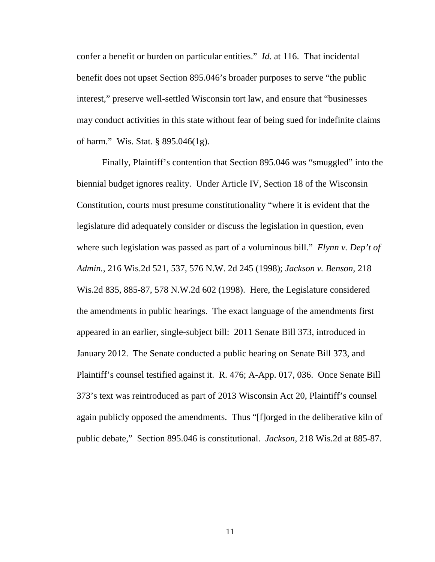confer a benefit or burden on particular entities." *Id.* at 116. That incidental benefit does not upset Section 895.046's broader purposes to serve "the public interest," preserve well-settled Wisconsin tort law, and ensure that "businesses may conduct activities in this state without fear of being sued for indefinite claims of harm." Wis. Stat. § 895.046(1g).

<span id="page-16-4"></span><span id="page-16-3"></span><span id="page-16-2"></span><span id="page-16-1"></span><span id="page-16-0"></span>Finally, Plaintiff's contention that Section 895.046 was "smuggled" into the biennial budget ignores reality. Under Article IV, Section 18 of the Wisconsin Constitution, courts must presume constitutionality "where it is evident that the legislature did adequately consider or discuss the legislation in question, even where such legislation was passed as part of a voluminous bill." *Flynn v. Dep't of Admin.*, 216 Wis.2d 521, 537, 576 N.W. 2d 245 (1998); *Jackson v. Benson*, 218 Wis.2d 835, 885-87, 578 N.W.2d 602 (1998). Here, the Legislature considered the amendments in public hearings. The exact language of the amendments first appeared in an earlier, single-subject bill: 2011 Senate Bill 373, introduced in January 2012. The Senate conducted a public hearing on Senate Bill 373, and Plaintiff's counsel testified against it. R. 476; A-App. 017, 036. Once Senate Bill 373's text was reintroduced as part of 2013 Wisconsin Act 20, Plaintiff's counsel again publicly opposed the amendments. Thus "[f]orged in the deliberative kiln of public debate," Section 895.046 is constitutional. *Jackson*, 218 Wis.2d at 885-87.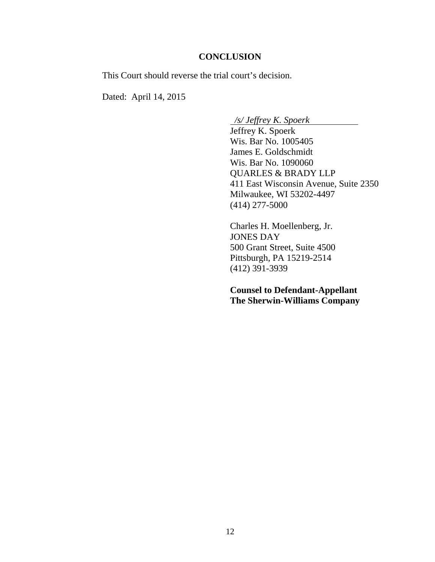### **CONCLUSION**

<span id="page-17-0"></span>This Court should reverse the trial court's decision.

Dated: April 14, 2015

*/s/ Jeffrey K. Spoerk*

Jeffrey K. Spoerk Wis. Bar No. 1005405 James E. Goldschmidt Wis. Bar No. 1090060 QUARLES & BRADY LLP 411 East Wisconsin Avenue, Suite 2350 Milwaukee, WI 53202-4497 (414) 277-5000

Charles H. Moellenberg, Jr. JONES DAY 500 Grant Street, Suite 4500 Pittsburgh, PA 15219-2514 (412) 391-3939

**Counsel to Defendant-Appellant The Sherwin-Williams Company**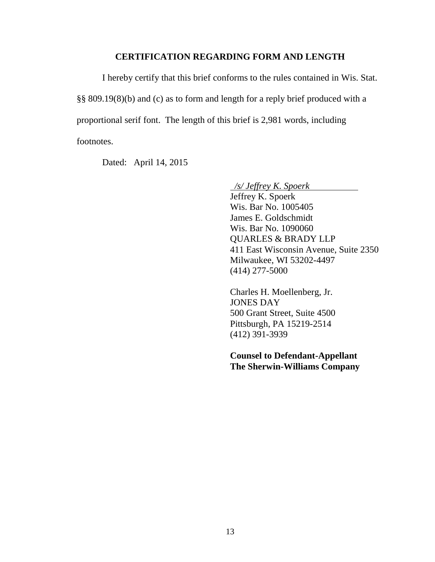### **CERTIFICATION REGARDING FORM AND LENGTH**

I hereby certify that this brief conforms to the rules contained in Wis. Stat. §§ 809.19(8)(b) and (c) as to form and length for a reply brief produced with a proportional serif font. The length of this brief is 2,981 words, including footnotes.

Dated: April 14, 2015

*/s/ Jeffrey K. Spoerk*

Jeffrey K. Spoerk Wis. Bar No. 1005405 James E. Goldschmidt Wis. Bar No. 1090060 QUARLES & BRADY LLP 411 East Wisconsin Avenue, Suite 2350 Milwaukee, WI 53202-4497 (414) 277-5000

Charles H. Moellenberg, Jr. JONES DAY 500 Grant Street, Suite 4500 Pittsburgh, PA 15219-2514 (412) 391-3939

**Counsel to Defendant-Appellant The Sherwin-Williams Company**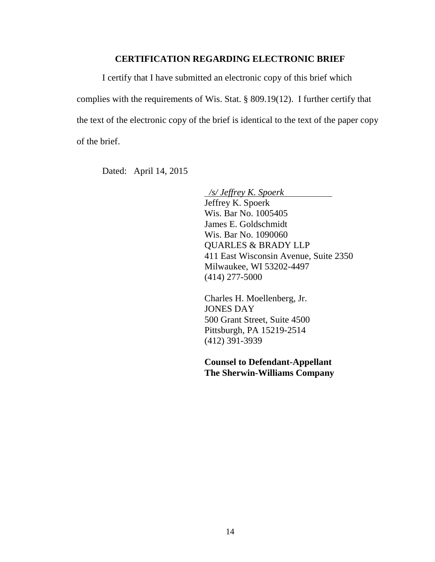### **CERTIFICATION REGARDING ELECTRONIC BRIEF**

I certify that I have submitted an electronic copy of this brief which complies with the requirements of Wis. Stat. § 809.19(12). I further certify that the text of the electronic copy of the brief is identical to the text of the paper copy of the brief.

Dated: April 14, 2015

*/s/ Jeffrey K. Spoerk* Jeffrey K. Spoerk Wis. Bar No. 1005405 James E. Goldschmidt Wis. Bar No. 1090060 QUARLES & BRADY LLP 411 East Wisconsin Avenue, Suite 2350 Milwaukee, WI 53202-4497 (414) 277-5000

Charles H. Moellenberg, Jr. JONES DAY 500 Grant Street, Suite 4500 Pittsburgh, PA 15219-2514 (412) 391-3939

**Counsel to Defendant-Appellant The Sherwin-Williams Company**